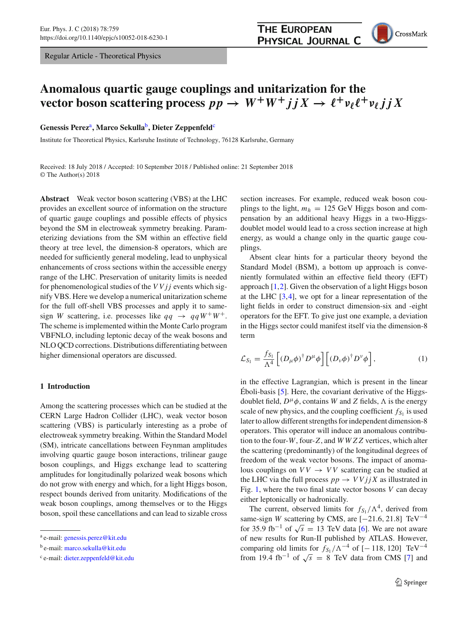Regular Article - Theoretical Physics



# **Anomalous quartic gauge couplings and unitarization for the**  $\textbf{vector boson scattering process } pp \to W^+W^+jjX \to \ell^+\nu_\ell\ell^+\nu_\ell jjX$

**Genessis Perez**a**, Marco Sekulla**b**, Dieter Zeppenfeld**<sup>c</sup>

Institute for Theoretical Physics, Karlsruhe Institute of Technology, 76128 Karlsruhe, Germany

Received: 18 July 2018 / Accepted: 10 September 2018 / Published online: 21 September 2018 © The Author(s) 2018

**Abstract** Weak vector boson scattering (VBS) at the LHC provides an excellent source of information on the structure of quartic gauge couplings and possible effects of physics beyond the SM in electroweak symmetry breaking. Parameterizing deviations from the SM within an effective field theory at tree level, the dimension-8 operators, which are needed for sufficiently general modeling, lead to unphysical enhancements of cross sections within the accessible energy range of the LHC. Preservation of unitarity limits is needed for phenomenological studies of the *VVjj* events which signify VBS. Here we develop a numerical unitarization scheme for the full off-shell VBS processes and apply it to samesign *W* scattering, i.e. processes like  $qq \rightarrow qqW^+W^+$ . The scheme is implemented within the Monte Carlo program VBFNLO, including leptonic decay of the weak bosons and NLO QCD corrections. Distributions differentiating between higher dimensional operators are discussed.

### **1 Introduction**

Among the scattering processes which can be studied at the CERN Large Hadron Collider (LHC), weak vector boson scattering (VBS) is particularly interesting as a probe of electroweak symmetry breaking. Within the Standard Model (SM), intricate cancellations between Feynman amplitudes involving quartic gauge boson interactions, trilinear gauge boson couplings, and Higgs exchange lead to scattering amplitudes for longitudinally polarized weak bosons which do not grow with energy and which, for a light Higgs boson, respect bounds derived from unitarity. Modifications of the weak boson couplings, among themselves or to the Higgs boson, spoil these cancellations and can lead to sizable cross section increases. For example, reduced weak boson couplings to the light,  $m_h = 125$  GeV Higgs boson and compensation by an additional heavy Higgs in a two-Higgsdoublet model would lead to a cross section increase at high energy, as would a change only in the quartic gauge couplings.

Absent clear hints for a particular theory beyond the Standard Model (BSM), a bottom up approach is conveniently formulated within an effective field theory (EFT) approach [\[1](#page-13-0)[,2](#page-13-1)]. Given the observation of a light Higgs boson at the LHC  $[3,4]$  $[3,4]$ , we opt for a linear representation of the light fields in order to construct dimension-six and -eight operators for the EFT. To give just one example, a deviation in the Higgs sector could manifest itself via the dimension-8 term

$$
\mathcal{L}_{S_1} = \frac{f_{S_1}}{\Lambda^4} \left[ \left( D_\mu \phi \right)^\dagger D^\mu \phi \right] \left[ \left( D_\nu \phi \right)^\dagger D^\nu \phi \right],\tag{1}
$$

in the effective Lagrangian, which is present in the linear Éboli-basis [\[5](#page-13-4)]. Here, the covariant derivative of the Higgsdoublet field,  $D^{\mu}\phi$ , contains *W* and *Z* fields,  $\Lambda$  is the energy scale of new physics, and the coupling coefficient  $f_{S_1}$  is used later to allow different strengths for independent dimension-8 operators. This operator will induce an anomalous contribution to the four-*W*, four-*Z*, and *WWZZ* vertices, which alter the scattering (predominantly) of the longitudinal degrees of freedom of the weak vector bosons. The impact of anomalous couplings on  $VV \rightarrow VV$  scattering can be studied at the LHC via the full process  $pp \rightarrow VVjjX$  as illustrated in Fig. [1,](#page-1-0) where the two final state vector bosons *V* can decay either leptonically or hadronically.

The current, observed limits for  $f_{S_1}/\Lambda^4$ , derived from same-sign *W* scattering by CMS, are  $[-21.6, 21.8]$  TeV<sup>-4</sup> for 35.9 fb<sup>-1</sup> of  $\sqrt{s}$  = 13 TeV data [\[6\]](#page-13-5). We are not aware of new results for Run-II published by ATLAS. However, comparing old limits for  $f_{S_1}/\Lambda^{-4}$  of [− 118, 120] TeV<sup>-4</sup> from 19.4 fb<sup>-1</sup> of  $\sqrt{s}$  = 8 TeV data from CMS [\[7\]](#page-13-6) and

<sup>a</sup> e-mail: [genessis.perez@kit.edu](mailto:genessis.perez@kit.edu)

<sup>b</sup> e-mail: [marco.sekulla@kit.edu](mailto:marco.sekulla@kit.edu)

<sup>c</sup> e-mail: [dieter.zeppenfeld@kit.edu](mailto:dieter.zeppenfeld@kit.edu)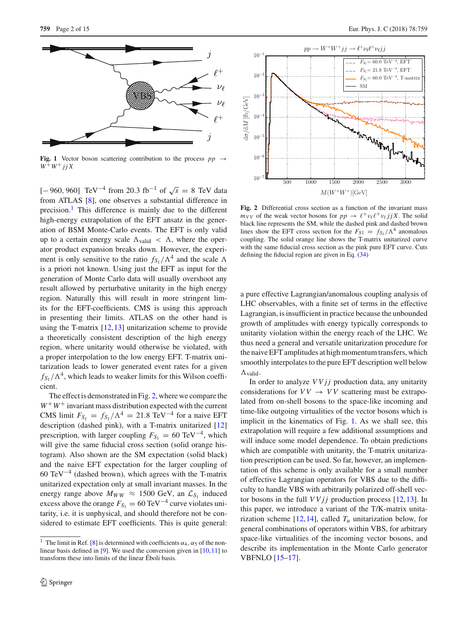

<span id="page-1-0"></span>**Fig. 1** Vector boson scattering contribution to the process  $pp \rightarrow$  $W^+W^+$ *j j X* 

[-960, 960] TeV<sup>-4</sup> from 20.3 fb<sup>-1</sup> of  $\sqrt{s}$  = 8 TeV data from ATLAS [\[8](#page-13-7)], one observes a substantial difference in precision.<sup>[1](#page-1-1)</sup> This difference is mainly due to the different high-energy extrapolation of the EFT ansatz in the generation of BSM Monte-Carlo events. The EFT is only valid up to a certain energy scale  $\Lambda_{\text{valid}} < \Lambda$ , where the operator product expansion breaks down. However, the experiment is only sensitive to the ratio  $f_{S_1}/\Lambda^4$  and the scale  $\Lambda$ is a priori not known. Using just the EFT as input for the generation of Monte Carlo data will usually overshoot any result allowed by perturbative unitarity in the high energy region. Naturally this will result in more stringent limits for the EFT-coefficients. CMS is using this approach in presenting their limits. ATLAS on the other hand is using the T-matrix  $[12, 13]$  $[12, 13]$  unitarization scheme to provide a theoretically consistent description of the high energy region, where unitarity would otherwise be violated, with a proper interpolation to the low energy EFT. T-matrix unitarization leads to lower generated event rates for a given  $f_{S_1}/\Lambda^4$ , which leads to weaker limits for this Wilson coefficient.

The effect is demonstrated in Fig. [2,](#page-1-2) where we compare the  $W^+W^+$  invariant mass distribution expected with the current CMS limit  $F_{S_1} = f_{S_1}/\Lambda^4 = 21.8 \text{ TeV}^{-4}$  for a naive EFT description (dashed pink), with a T-matrix unitarized [\[12\]](#page-14-0) prescription, with larger coupling  $F_{S_1} = 60 \text{ TeV}^{-4}$ , which will give the same fiducial cross section (solid orange histogram). Also shown are the SM expectation (solid black) and the naive EFT expectation for the larger coupling of 60 TeV<sup> $-4$ </sup> (dashed brown), which agrees with the T-matrix unitarized expectation only at small invariant masses. In the energy range above  $M_{WW} \approx 1500 \text{ GeV}$ , an  $\mathcal{L}_{S_1}$  induced excess above the orange  $F_{S_1} = 60 \text{ TeV}^{-4}$  curve violates unitarity, i.e. it is unphysical, and should therefore not be considered to estimate EFT coefficients. This is quite general:



<span id="page-1-2"></span>**Fig. 2** Differential cross section as a function of the invariant mass  $m_{VV}$  of the weak vector bosons for  $pp \rightarrow \ell^+ \nu_\ell \ell^+ \nu_\ell j j X$ . The solid black line represents the SM, while the dashed pink and dashed brown lines show the EFT cross section for the  $F_{S1} = f_{S1}/\Lambda^4$  anomalous coupling. The solid orange line shows the T-matrix unitarized curve with the same fiducial cross section as the pink pure EFT curve. Cuts defining the fiducial region are given in Eq. [\(34\)](#page-8-0)

a pure effective Lagrangian/anomalous coupling analysis of LHC observables, with a finite set of terms in the effective Lagrangian, is insufficient in practice because the unbounded growth of amplitudes with energy typically corresponds to unitarity violation within the energy reach of the LHC. We thus need a general and versatile unitarization procedure for the naive EFT amplitudes at high momentum transfers, which smoothly interpolates to the pure EFT description well below  $\Lambda$ valid.

In order to analyze *VVjj* production data, any unitarity considerations for  $VV \rightarrow VV$  scattering must be extrapolated from on-shell bosons to the space-like incoming and time-like outgoing virtualities of the vector bosons which is implicit in the kinematics of Fig. [1.](#page-1-0) As we shall see, this extrapolation will require a few additional assumptions and will induce some model dependence. To obtain predictions which are compatible with unitarity, the T-matrix unitarization prescription can be used. So far, however, an implementation of this scheme is only available for a small number of effective Lagrangian operators for VBS due to the difficulty to handle VBS with arbitrarily polarized off-shell vector bosons in the full *VVjj* production process [\[12](#page-14-0)[,13](#page-14-1)]. In this paper, we introduce a variant of the T/K-matrix unitarization scheme  $[12,14]$  $[12,14]$ , called  $T_u$  unitarization below, for general combinations of operators within VBS, for arbitrary space-like virtualities of the incoming vector bosons, and describe its implementation in the Monte Carlo generator VBFNLO [\[15](#page-14-5)[–17\]](#page-14-6).

<span id="page-1-1"></span><sup>&</sup>lt;sup>1</sup> The limit in Ref. [\[8\]](#page-13-7) is determined with coefficients  $\alpha_4$ ,  $\alpha_5$  of the nonlinear basis defined in [\[9](#page-13-8)]. We used the conversion given in [\[10](#page-14-2)[,11](#page-14-3)] to transform these into limits of the linear Éboli basis.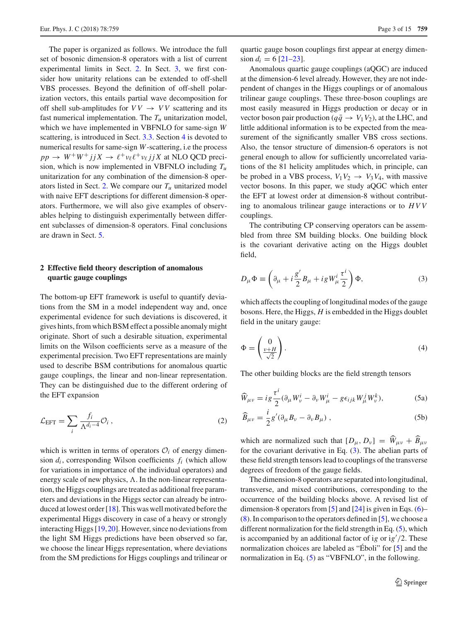The paper is organized as follows. We introduce the full set of bosonic dimension-8 operators with a list of current experimental limits in Sect. [2.](#page-2-0) In Sect. [3,](#page-3-0) we first consider how unitarity relations can be extended to off-shell VBS processes. Beyond the definition of off-shell polarization vectors, this entails partial wave decomposition for off shell sub-amplitudes for  $VV \rightarrow VV$  scattering and its fast numerical implementation. The  $T_u$  unitarization model, which we have implemented in VBFNLO for same-sign *W* scattering, is introduced in Sect. [3.3.](#page-7-0) Section [4](#page-8-1) is devoted to numerical results for same-sign *W*-scattering, i.e the process  $pp \rightarrow W^+W^+ jjX \rightarrow \ell^+ \nu_{\ell} \ell^+ \nu_{\ell} jjX$  at NLO QCD precision, which is now implemented in VBFNLO including *Tu* unitarization for any combination of the dimension-8 oper-ators listed in Sect. [2.](#page-2-0) We compare our  $T_u$  unitarized model with naive EFT descriptions for different dimension-8 operators. Furthermore, we will also give examples of observables helping to distinguish experimentally between different subclasses of dimension-8 operators. Final conclusions are drawn in Sect. [5.](#page-12-0)

## <span id="page-2-0"></span>**2 Effective field theory description of anomalous quartic gauge couplings**

The bottom-up EFT framework is useful to quantify deviations from the SM in a model independent way and, once experimental evidence for such deviations is discovered, it gives hints, from which BSM effect a possible anomaly might originate. Short of such a desirable situation, experimental limits on the Wilson coefficients serve as a measure of the experimental precision. Two EFT representations are mainly used to describe BSM contributions for anomalous quartic gauge couplings, the linear and non-linear representation. They can be distinguished due to the different ordering of the EFT expansion

$$
\mathcal{L}_{\text{EFT}} = \sum_{i} \frac{f_i}{\Lambda^{d_i - 4}} \mathcal{O}_i , \qquad (2)
$$

which is written in terms of operators  $\mathcal{O}_i$  of energy dimension  $d_i$ , corresponding Wilson coefficients  $f_i$  (which allow for variations in importance of the individual operators) and energy scale of new physics,  $\Lambda$ . In the non-linear representation, the Higgs couplings are treated as additional free parameters and deviations in the Higgs sector can already be introduced at lowest order [\[18\]](#page-14-7). This was well motivated before the experimental Higgs discovery in case of a heavy or strongly interacting Higgs [\[19](#page-14-8)[,20](#page-14-9)]. However, since no deviations from the light SM Higgs predictions have been observed so far, we choose the linear Higgs representation, where deviations from the SM predictions for Higgs couplings and trilinear or quartic gauge boson couplings first appear at energy dimension  $d_i = 6$  [\[21](#page-14-10)[–23\]](#page-14-11).

Anomalous quartic gauge couplings (aQGC) are induced at the dimension-6 level already. However, they are not independent of changes in the Higgs couplings or of anomalous trilinear gauge couplings. These three-boson couplings are most easily measured in Higgs production or decay or in vector boson pair production ( $q\bar{q} \rightarrow V_1V_2$ ), at the LHC, and little additional information is to be expected from the measurement of the significantly smaller VBS cross sections. Also, the tensor structure of dimension-6 operators is not general enough to allow for sufficiently uncorrelated variations of the 81 helicity amplitudes which, in principle, can be probed in a VBS process,  $V_1V_2 \rightarrow V_3V_4$ , with massive vector bosons. In this paper, we study aQGC which enter the EFT at lowest order at dimension-8 without contributing to anomalous trilinear gauge interactions or to *HVV* couplings.

The contributing CP conserving operators can be assembled from three SM building blocks. One building block is the covariant derivative acting on the Higgs doublet field,

<span id="page-2-1"></span>
$$
D_{\mu}\Phi \equiv \left(\partial_{\mu} + i\frac{g'}{2}B_{\mu} + igW_{\mu}^{i}\frac{\tau^{i}}{2}\right)\Phi,
$$
\n(3)

which affects the coupling of longitudinal modes of the gauge bosons. Here, the Higgs, *H* is embedded in the Higgs doublet field in the unitary gauge:

$$
\Phi = \begin{pmatrix} 0 \\ \frac{v+H}{\sqrt{2}} \end{pmatrix} . \tag{4}
$$

The other building blocks are the field strength tensors

<span id="page-2-2"></span>
$$
\widehat{W}_{\mu\nu} = ig \frac{\tau^i}{2} (\partial_\mu W^i_\nu - \partial_\nu W^i_\mu - g \epsilon_{ijk} W^j_\mu W^k_\nu), \tag{5a}
$$

$$
\widehat{B}_{\mu\nu} = \frac{i}{2} g' (\partial_{\mu} B_{\nu} - \partial_{\nu} B_{\mu}) , \qquad (5b)
$$

which are normalized such that  $[D_\mu, D_\nu] = \hat{W}_{\mu\nu} + \hat{B}_{\mu\nu}$ for the covariant derivative in Eq.  $(3)$ . The abelian parts of these field strength tensors lead to couplings of the transverse degrees of freedom of the gauge fields.

The dimension-8 operators are separated into longitudinal, transverse, and mixed contributions, corresponding to the occurrence of the building blocks above. A revised list of dimension-8 operators from [\[5](#page-13-4)] and  $[24]$  $[24]$  is given in Eqs. [\(6\)](#page-3-1)– [\(8\)](#page-3-2). In comparison to the operators defined in [\[5](#page-13-4)], we choose a different normalization for the field strength in Eq. [\(5\)](#page-2-2), which is accompanied by an additional factor of ig or ig<sup>7</sup>/2. These normalization choices are labeled as "Éboli" for [\[5](#page-13-4)] and the normalization in Eq. [\(5\)](#page-2-2) as "VBFNLO", in the following.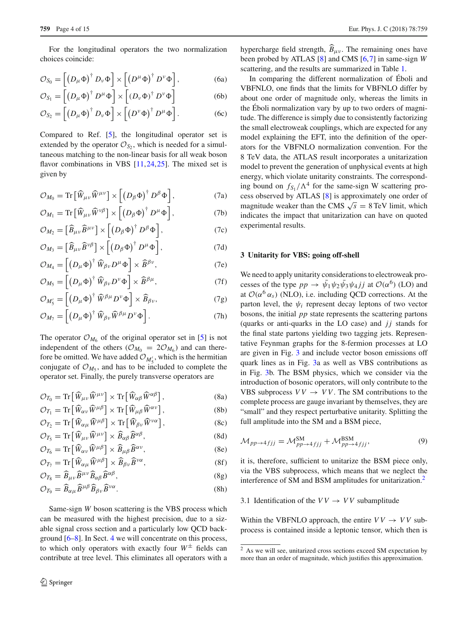<span id="page-3-1"></span>For the longitudinal operators the two normalization choices coincide:

$$
\mathcal{O}_{S_0} = \left[ \left( D_\mu \Phi \right)^{\dagger} D_\nu \Phi \right] \times \left[ \left( D^\mu \Phi \right)^{\dagger} D^\nu \Phi \right], \tag{6a}
$$

$$
\mathcal{O}_{S_1} = \left[ \left( D_\mu \Phi \right)^\dagger D^\mu \Phi \right] \times \left[ \left( D_\nu \Phi \right)^\dagger D^\nu \Phi \right] \tag{6b}
$$

$$
\mathcal{O}_{S_2} = \left[ \left( D_\mu \Phi \right)^{\dagger} D_\nu \Phi \right] \times \left[ \left( D^\nu \Phi \right)^{\dagger} D^\mu \Phi \right]. \tag{6c}
$$

Compared to Ref. [\[5\]](#page-13-4), the longitudinal operator set is extended by the operator  $\mathcal{O}_{S_2}$ , which is needed for a simultaneous matching to the non-linear basis for all weak boson flavor combinations in VBS [\[11](#page-14-3),[24,](#page-14-12)[25\]](#page-14-13). The mixed set is given by

$$
\mathcal{O}_{M_0} = \text{Tr}\left[\widehat{W}_{\mu\nu}\widehat{W}^{\mu\nu}\right] \times \left[\left(D_\beta \Phi\right)^\dagger D^\beta \Phi\right],\tag{7a}
$$

$$
\mathcal{O}_{M_1} = \text{Tr}\left[\widehat{W}_{\mu\nu}\widehat{W}^{\nu\beta}\right] \times \left[\left(D_\beta\Phi\right)^\dagger D^\mu\Phi\right],\tag{7b}
$$

$$
\mathcal{O}_{M_2} = \left[\widehat{B}_{\mu\nu}\widehat{B}^{\mu\nu}\right] \times \left[\left(D_\beta\Phi\right)^\dagger D^\beta\Phi\right],\tag{7c}
$$

$$
\mathcal{O}_{M_3} = \left[\widehat{B}_{\mu\nu}\widehat{B}^{\nu\beta}\right] \times \left[\left(D_\beta\Phi\right)^\dagger D^\mu\Phi\right],\tag{7d}
$$

$$
\mathcal{O}_{M_4} = \left[ \left( D_\mu \Phi \right)^{\dagger} \widehat{W}_{\beta \nu} D^\mu \Phi \right] \times \widehat{B}^{\beta \nu},\tag{7e}
$$

$$
\mathcal{O}_{M_5} = \left[ \left( D_{\mu} \Phi \right)^{\dagger} \widehat{W}_{\beta \nu} D^{\nu} \Phi \right] \times \widehat{B}^{\beta \mu},\tag{7f}
$$

$$
\mathcal{O}_{M'_5} = \left[ \left( D_\mu \Phi \right)^{\dagger} \widehat{W}^{\beta \mu} D^\nu \Phi \right] \times \widehat{B}_{\beta \nu},\tag{7g}
$$

$$
\mathcal{O}_{M_7} = \left[ \left( D_\mu \Phi \right)^{\dagger} \widehat{W}_{\beta \nu} \widehat{W}^{\beta \mu} D^\nu \Phi \right]. \tag{7h}
$$

The operator  $O_{M_6}$  of the original operator set in [\[5\]](#page-13-4) is not independent of the others ( $\mathcal{O}_{M_0} = 2\mathcal{O}_{M_6}$ ) and can therefore be omitted. We have added  $\mathcal{O}_{M'_5}$ , which is the hermitian conjugate of  $\mathcal{O}_{M_5}$ , and has to be included to complete the operator set. Finally, the purely transverse operators are

$$
\mathcal{O}_{T_0} = \text{Tr}\left[\widehat{W}_{\mu\nu}\widehat{W}^{\mu\nu}\right] \times \text{Tr}\left[\widehat{W}_{\alpha\beta}\widehat{W}^{\alpha\beta}\right],\tag{8a}
$$

$$
\mathcal{O}_{T_1} = \text{Tr}\left[\widehat{W}_{\alpha\nu}\widehat{W}^{\mu\beta}\right] \times \text{Tr}\left[\widehat{W}_{\mu\beta}\widehat{W}^{\alpha\nu}\right],\tag{8b}
$$

$$
\mathcal{O}_{T_2} = \text{Tr}\left[\widehat{W}_{\alpha\mu}\widehat{W}^{\mu\beta}\right] \times \text{Tr}\left[\widehat{W}_{\beta\nu}\widehat{W}^{\nu\alpha}\right],\tag{8c}
$$

$$
\mathcal{O}_{T_5} = \text{Tr}\left[\widehat{W}_{\mu\nu}\widehat{W}^{\mu\nu}\right] \times \widehat{B}_{\alpha\beta}\widehat{B}^{\alpha\beta},\tag{8d}
$$

$$
\mathcal{O}_{T_6} = \text{Tr}\left[\widehat{W}_{\alpha\nu}\widehat{W}^{\mu\beta}\right] \times \widehat{B}_{\mu\beta}\widehat{B}^{\alpha\nu},\tag{8e}
$$

$$
\mathcal{O}_{T_7} = \text{Tr}\left[\widehat{W}_{\alpha\mu}\widehat{W}^{\mu\beta}\right] \times \widehat{B}_{\beta\nu}\widehat{B}^{\nu\alpha},\tag{8f}
$$

$$
\mathcal{O}_{T_8} = \widehat{B}_{\mu\nu} \widehat{B}^{\mu\nu} \widehat{B}_{\alpha\beta} \widehat{B}^{\alpha\beta},\tag{8g}
$$

$$
\mathcal{O}_{T_9} = \widehat{B}_{\alpha\mu} \widehat{B}^{\mu\beta} \widehat{B}_{\beta\nu} \widehat{B}^{\nu\alpha}.
$$
 (8h)

Same-sign *W* boson scattering is the VBS process which can be measured with the highest precision, due to a sizable signal cross section and a particularly low QCD background [\[6](#page-13-5)[–8\]](#page-13-7). In Sect. [4](#page-8-1) we will concentrate on this process, to which only operators with exactly four  $W^{\pm}$  fields can contribute at tree level. This eliminates all operators with a hypercharge field strength,  $\widehat{B}_{\mu\nu}$ . The remaining ones have been probed by ATLAS [\[8](#page-13-7)] and CMS [\[6](#page-13-5)[,7](#page-13-6)] in same-sign *W* scattering, and the results are summarized in Table [1.](#page-4-0)

In comparing the different normalization of Éboli and VBFNLO, one finds that the limits for VBFNLO differ by about one order of magnitude only, whereas the limits in the Éboli normalization vary by up to two orders of magnitude. The difference is simply due to consistently factorizing the small electroweak couplings, which are expected for any model explaining the EFT, into the definition of the operators for the VBFNLO normalization convention. For the 8 TeV data, the ATLAS result incorporates a unitarization model to prevent the generation of unphysical events at high energy, which violate unitarity constraints. The corresponding bound on  $f_{S_1}/\Lambda^4$  for the same-sign W scattering process observed by ATLAS [\[8](#page-13-7)] is approximately one order of magnitude weaker than the CMS  $\sqrt{s} = 8 \text{ TeV}$  limit, which indicates the impact that unitarization can have on quoted experimental results.

#### <span id="page-3-0"></span>**3 Unitarity for VBS: going off-shell**

We need to apply unitarity considerations to electroweak processes of the type  $pp \to \bar{\psi}_1 \psi_2 \bar{\psi}_3 \psi_4 j j$  at  $\mathcal{O}(\alpha^6)$  (LO) and at  $\mathcal{O}(\alpha^6 \alpha_s)$  (NLO), i.e. including QCD corrections. At the parton level, the  $\psi_i$  represent decay leptons of two vector bosons, the initial *pp* state represents the scattering partons (quarks or anti-quarks in the LO case) and  $jj$  stands for the final state partons yielding two tagging jets. Representative Feynman graphs for the 8-fermion processes at LO are given in Fig. [3](#page-4-1) and include vector boson emissions off quark lines as in Fig. [3a](#page-4-1) as well as VBS contributions as in Fig. [3b](#page-4-1). The BSM physics, which we consider via the introduction of bosonic operators, will only contribute to the VBS subprocess  $VV \rightarrow VV$ . The SM contributions to the complete process are gauge invariant by themselves, they are "small" and they respect perturbative unitarity. Splitting the full amplitude into the SM and a BSM piece,

<span id="page-3-2"></span>
$$
\mathcal{M}_{pp \to 4fjj} = \mathcal{M}_{pp \to 4fjj}^{\text{SM}} + \mathcal{M}_{pp \to 4fjj}^{\text{BSM}},\tag{9}
$$

it is, therefore, sufficient to unitarize the BSM piece only, via the VBS subprocess, which means that we neglect the interference of SM and BSM amplitudes for unitarization.<sup>[2](#page-3-3)</sup>

## <span id="page-3-4"></span>3.1 Identification of the  $VV \rightarrow VV$  subamplitude

Within the VBFNLO approach, the entire  $VV \rightarrow VV$  subprocess is contained inside a leptonic tensor, which then is

<span id="page-3-3"></span><sup>&</sup>lt;sup>2</sup> As we will see, unitarized cross sections exceed SM expectation by more than an order of magnitude, which justifies this approximation.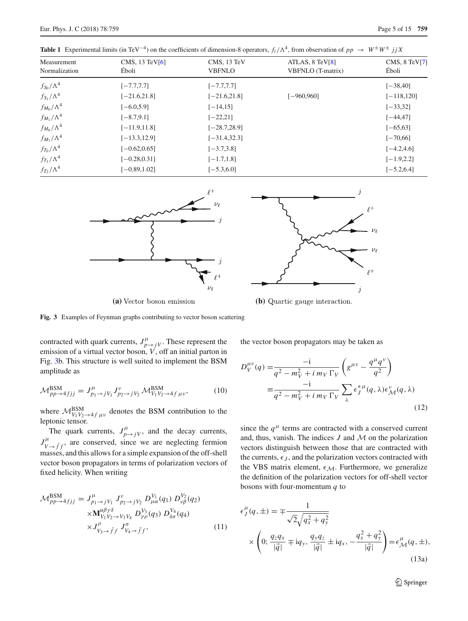$f_{T_1}/\Lambda^4$ 

 $f_{T_2}/\Lambda^4$ 

| <b>Table 1</b> Experimental limits (in TeV <sup>-4</sup> ) on the coefficients of dimension-8 operators, $f_i/\Lambda^4$ , from observation of $pp \to W^{\pm}W^{\pm} jjX$ |                                    |                              |                                           |                        |  |  |  |
|----------------------------------------------------------------------------------------------------------------------------------------------------------------------------|------------------------------------|------------------------------|-------------------------------------------|------------------------|--|--|--|
| Measurement<br>Normalization                                                                                                                                               | CMS, $13 \text{ TeV}$ [6]<br>Éboli | CMS, 13 TeV<br><b>VBFNLO</b> | ATLAS, $8$ TeV $[8]$<br>VBFNLO (T-matrix) | CMS, 8 TeV[7]<br>Éboli |  |  |  |
| $f_{\rm S_0}/\Lambda^4$                                                                                                                                                    | $[-7.7, 7.7]$                      | $[-7.7, 7.7]$                |                                           | $[-38, 40]$            |  |  |  |
| $f_{S_1}/\Lambda^4$                                                                                                                                                        | $[-21.6, 21.8]$                    | $[-21.6, 21.8]$              | $[-960, 960]$                             | $[-118, 120]$          |  |  |  |
| $f_{M_0}/\Lambda^4$                                                                                                                                                        | $[-6.0, 5.9]$                      | $[-14, 15]$                  |                                           | $[-33, 32]$            |  |  |  |
| $f_{M_1}/\Lambda^4$                                                                                                                                                        | $[-8.7, 9.1]$                      | $[-22, 21]$                  |                                           | $[-44, 47]$            |  |  |  |
| $f_{M_6}/\Lambda^4$                                                                                                                                                        | $[-11.9, 11.8]$                    | $[-28.7, 28.9]$              |                                           | $[-65, 63]$            |  |  |  |
| $f_{M_7}/\Lambda^4$                                                                                                                                                        | $[-13.3, 12.9]$                    | $[-31.4, 32.3]$              |                                           | $[-70, 66]$            |  |  |  |
| $f_{T_0}/\Lambda^4$                                                                                                                                                        | $[-0.62, 0.65]$                    | $[-3.7, 3.8]$                |                                           | $[-4.2, 4.6]$          |  |  |  |

 $[-0.28, 0.31]$   $[-1.7, 1.8]$   $[-1.9, 2.2]$ 

 $[-6.89, 1.02]$   $[-5.3, 6.0]$   $[-5.2, 6.4]$ 

<span id="page-4-0"></span>**Table 1** Experimental limits (in TeV<sup>-4</sup>) on the coefficients of dimension-8 operators,  $f_i/\Lambda$ 





(a) Vector boson emission (b) Quartic gauge interaction.

<span id="page-4-1"></span>**Fig. 3** Examples of Feynman graphs contributing to vector boson scattering

contracted with quark currents,  $J_{p\to jV}^{\mu}$ . These represent the emission of a virtual vector boson,  $V$ , off an initial parton in Fig. [3b](#page-4-1). This structure is well suited to implement the BSM amplitude as

$$
\mathcal{M}_{pp \to 4fjj}^{\text{BSM}} = J_{p_1 \to jV_1}^{\mu} J_{p_2 \to jV_2}^{\nu} \mathcal{M}_{V_1 V_2 \to 4f \mu \nu}^{\text{BSM}}, \tag{10}
$$

where  $\mathcal{M}_{V_1 V_2 \rightarrow 4f \mu\nu}^{BSM}$  denotes the BSM contribution to the leptonic tensor.

The quark currents,  $J_{p \to jV}^{\mu}$ , and the decay currents,  $J_{V \to \bar{f}f}^{\mu}$ , are conserved, since we are neglecting fermion masses, and this allows for a simple expansion of the off-shell vector boson propagators in terms of polarization vectors of fixed helicity. When writing

$$
\mathcal{M}_{pp \to 4fjj}^{\text{BSM}} = J_{p_1 \to jV_1}^{\mu} J_{p_2 \to jV_2}^{\nu} D_{\mu \alpha}^{V_1}(q_1) D_{\nu \beta}^{V_2}(q_2) \times \mathbf{M}_{V_1 V_2 \to V_3 V_4}^{\alpha \beta \gamma \delta} D_{\gamma \rho}^{V_3}(q_3) D_{\delta \sigma}^{V_4}(q_4) \times J_{V_3 \to \bar{f}f}^{\rho} J_{V_4 \to \bar{f}f}^{\sigma},
$$
\n(11)

the vector boson propagators may be taken as

<span id="page-4-2"></span>
$$
D_V^{\mu\nu}(q) = \frac{-i}{q^2 - m_V^2 + i m_V \Gamma_V} \left( g^{\mu\nu} - \frac{q^\mu q^\nu}{q^2} \right)
$$
  

$$
\equiv \frac{-i}{q^2 - m_V^2 + i m_V \Gamma_V} \sum_{\lambda} \epsilon_J^{*\mu}(q, \lambda) \epsilon_M^{\nu}(q, \lambda)
$$
(12)

<span id="page-4-3"></span>since the  $q^{\mu}$  terms are contracted with a conserved current and, thus, vanish. The indices *J* and *M* on the polarization vectors distinguish between those that are contracted with the currents,  $\epsilon_J$ , and the polarization vectors contracted with the VBS matrix element,  $\epsilon_M$ . Furthermore, we generalize the definition of the polarization vectors for off-shell vector bosons with four-momentum *q* to

$$
\epsilon_J^{\mu}(q, \pm) = \mp \frac{1}{\sqrt{2}\sqrt{q_x^2 + q_y^2}}\n\times \left(0; \frac{q_z q_x}{|\vec{q}|} \mp i q_y, \frac{q_y q_z}{|\vec{q}|} \pm i q_x, -\frac{q_x^2 + q_y^2}{|\vec{q}|}\right) = \epsilon_{\mathcal{M}}^{\mu}(q, \pm),
$$
\n(13a)

<sup>2</sup> Springer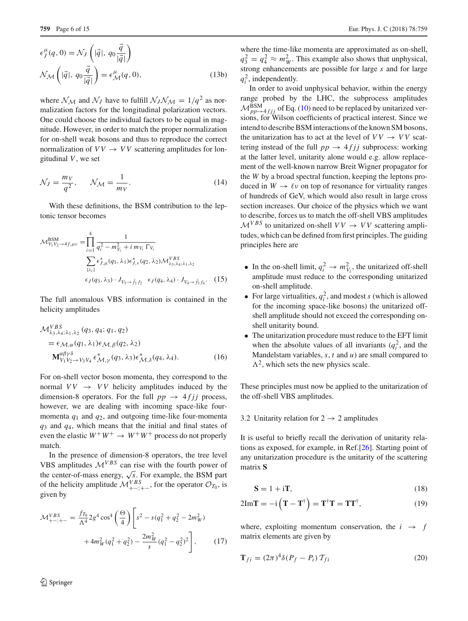$$
\epsilon_J^{\mu}(q,0) = \mathcal{N}_J\left(|\vec{q}|, q_0 \frac{\vec{q}}{|\vec{q}|}\right)
$$

$$
\mathcal{N}_{\mathcal{M}}\left(|\vec{q}|, q_0 \frac{\vec{q}}{|\vec{q}|}\right) = \epsilon_{\mathcal{M}}^{\mu}(q, 0),\tag{13b}
$$

where  $\mathcal{N}_{\mathcal{M}}$  and  $\mathcal{N}_{J}$  have to fulfill  $\mathcal{N}_{J}\mathcal{N}_{\mathcal{M}} = 1/q^2$  as normalization factors for the longitudinal polarization vectors. One could choose the individual factors to be equal in magnitude. However, in order to match the proper normalization for on-shell weak bosons and thus to reproduce the correct normalization of  $VV \rightarrow VV$  scattering amplitudes for longitudinal *V*, we set

$$
\mathcal{N}_J = \frac{m_V}{q^2}, \qquad \mathcal{N}_M = \frac{1}{m_V}.\tag{14}
$$

With these definitions, the BSM contribution to the leptonic tensor becomes

$$
\mathcal{M}_{V_1 V_2 \to 4f, \mu\nu}^{\text{BSM}} = \prod_{i=1}^4 \frac{1}{q_i^2 - m_{V_i}^2 + i m_{V_i} \Gamma_{V_i}}
$$
  

$$
\sum_{\{\lambda_i\}} \epsilon_{J, \mu}^* (q_1, \lambda_1) \epsilon_{J, \nu}^* (q_2, \lambda_2) \mathcal{M}_{\lambda_3, \lambda_4; \lambda_1, \lambda_2}^{VBS}
$$
  

$$
\epsilon_J (q_3, \lambda_3) \cdot J_{V_3 \to \bar{f}_1 f_2} \epsilon_J (q_4, \lambda_4) \cdot J_{V_4 \to \bar{f}_3 f_4}.
$$
 (15)

The full anomalous VBS information is contained in the helicity amplitudes

$$
\mathcal{M}_{\lambda_3,\lambda_4;\lambda_1,\lambda_2}^{VBS}(q_3,q_4;q_1,q_2)
$$
  
=  $\epsilon_{\mathcal{M},\alpha}(q_1,\lambda_1)\epsilon_{\mathcal{M},\beta}(q_2,\lambda_2)$   

$$
\mathbf{M}_{V_1V_2\rightarrow V_3V_4}^{\alpha\beta\gamma\delta}\epsilon_{\mathcal{M},\gamma}^*(q_3,\lambda_3)\epsilon_{\mathcal{M},\delta}^*(q_4,\lambda_4).
$$
 (16)

For on-shell vector boson momenta, they correspond to the normal  $VV \rightarrow VV$  helicity amplitudes induced by the dimension-8 operators. For the full  $pp \rightarrow 4fjj$  process, however, we are dealing with incoming space-like fourmomenta  $q_1$  and  $q_2$ , and outgoing time-like four-momenta *q*<sup>3</sup> and *q*4, which means that the initial and final states of even the elastic  $W^+W^+ \rightarrow W^+W^+$  process do not properly match.

In the presence of dimension-8 operators, the tree level VBS amplitudes  $\mathcal{M}^{VBS}$  can rise with the fourth power of the center-of-mass energy,  $\sqrt{s}$ . For example, the BSM part of the helicity amplitude  $\mathcal{M}^{VBS}_{+-;+-}$ , for the operator  $\mathcal{O}_{T_0}$ , is given by

<span id="page-5-2"></span>
$$
\mathcal{M}_{+-;+-}^{VBS} = \frac{f_{T_0}}{\Lambda^4} 2g^4 \cos^4 \left(\frac{\Theta}{4}\right) \left[s^2 - s(q_1^2 + q_2^2 - 2m_W^2) + 4m_W^2(q_1^2 + q_2^2) - \frac{2m_W^2}{s}(q_1^2 - q_2^2)^2\right],
$$
 (17)

where the time-like momenta are approximated as on-shell,  $q_3^2 = q_4^2 \approx m_W^2$ . This example also shows that unphysical, strong enhancements are possible for large *s* and for large  $q_i^2$ , independently.

In order to avoid unphysical behavior, within the energy range probed by the LHC, the subprocess amplitudes  $M_{pp\rightarrow 4 f jj}^{\rm BSM}$  of Eq. [\(10\)](#page-4-2) need to be replaced by unitarized versions, for Wilson coefficients of practical interest. Since we intend to describe BSM interactions of the known SM bosons, the unitarization has to act at the level of  $VV \rightarrow VV$  scattering instead of the full  $pp \rightarrow 4 f j j$  subprocess: working at the latter level, unitarity alone would e.g. allow replacement of the well-known narrow Breit Wigner propagator for the *W* by a broad spectral function, keeping the leptons produced in  $W \to \ell \nu$  on top of resonance for virtuality ranges of hundreds of GeV, which would also result in large cross section increases. Our choice of the physics which we want to describe, forces us to match the off-shell VBS amplitudes  $\mathcal{M}^{VBS}$  to unitarized on-shell  $VV \rightarrow VV$  scattering amplitudes, which can be defined from first principles. The guiding principles here are

- <span id="page-5-1"></span>• In the on-shell limit,  $q_i^2 \to m_{V_i}^2$ , the unitarized off-shell amplitude must reduce to the corresponding unitarized on-shell amplitude.
- For large virtualities,  $q_i^2$ , and modest *s* (which is allowed for the incoming space-like bosons) the unitarized offshell amplitude should not exceed the corresponding onshell unitarity bound.
- The unitarization procedure must reduce to the EFT limit when the absolute values of all invariants  $(q_i^2)$ , and the Mandelstam variables,  $s$ ,  $t$  and  $u$ ) are small compared to  $\Lambda^2$ , which sets the new physics scale.

These principles must now be applied to the unitarization of the off-shell VBS amplitudes.

## 3.2 Unitarity relation for  $2 \rightarrow 2$  amplitudes

It is useful to briefly recall the derivation of unitarity relations as exposed, for example, in Ref.[\[26](#page-14-14)]. Starting point of any unitarization procedure is the unitarity of the scattering matrix **S**

<span id="page-5-0"></span>
$$
S = 1 + iT,\tag{18}
$$

$$
2\mathrm{Im}\mathbf{T} = -\mathrm{i}\left(\mathbf{T} - \mathbf{T}^{\dagger}\right) = \mathbf{T}^{\dagger}\mathbf{T} = \mathbf{T}\mathbf{T}^{\dagger},\tag{19}
$$

where, exploiting momentum conservation, the  $i \rightarrow f$ matrix elements are given by

$$
\mathbf{T}_{fi} = (2\pi)^4 \delta (P_f - P_i) \mathcal{T}_{fi}
$$
 (20)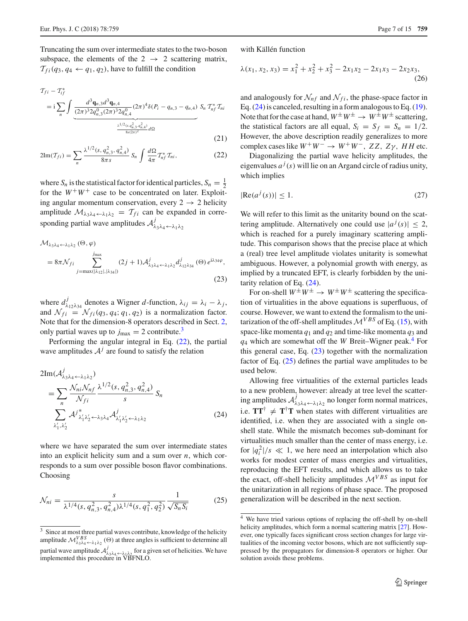Truncating the sum over intermediate states to the two-boson subspace, the elements of the  $2 \rightarrow 2$  scattering matrix,  $T_{fi}(q_3, q_4 \leftarrow q_1, q_2)$ , have to fulfill the condition

$$
\mathcal{T}_{fi} - \mathcal{T}_{if}^{*} = i \sum_{n} \int \underbrace{\frac{d^{3} \mathbf{q}_{n,3} d^{3} \mathbf{q}_{n,4}}{(2\pi)^{3} 2q_{n,3}^{0}(2\pi)^{3} 2q_{n,4}^{0}} (2\pi)^{4} \delta(P_{i} - q_{n,3} - q_{n,4}) S_{n} \mathcal{T}_{nf}^{*} \mathcal{T}_{ni}}_{8s(2\pi)^{2}} \frac{\frac{\lambda^{1/2}(s, q_{n,3}^{2}, q_{n,4}^{2})}{s^{2}} d\Omega} \tag{21}
$$

$$
2\mathrm{Im}(T_{fi}) = \sum_{n} \frac{\lambda^{1/2}(s, q_{n,3}^2, q_{n,4}^2)}{8\pi s} S_n \int \frac{d\Omega}{4\pi} T_{nf}^* T_{ni}, \qquad (22)
$$

where  $S_n$  is the statistical factor for identical particles,  $S_n = \frac{1}{2}$ for the  $W^+W^+$  case to be concentrated on later. Exploiting angular momentum conservation, every  $2 \rightarrow 2$  helicity amplitude  $\mathcal{M}_{\lambda_3\lambda_4\leftarrow\lambda_1\lambda_2} = \mathcal{T}_{fi}$  can be expanded in corresponding partial wave amplitudes  $\mathcal{A}^j_{\lambda_3\lambda_4\leftarrow\lambda_1\lambda_2}$ 

$$
\mathcal{M}_{\lambda_3 \lambda_4 \leftarrow \lambda_1 \lambda_2} (\Theta, \varphi)
$$
\n
$$
= 8\pi \mathcal{N}_{fi} \sum_{j=\max(|\lambda_{12}|, |\lambda_{34}|)}^{j_{\max}} (2j+1) \mathcal{A}_{\lambda_3 \lambda_4 \leftarrow \lambda_1 \lambda_2}^j d_{\lambda_{12} \lambda_{34}}^j (\Theta) e^{i\lambda_{34} \varphi},
$$
\n(23)

where  $d_{\lambda_{12}\lambda_{34}}^j$  denotes a Wigner *d*-function,  $\lambda_{ij} = \lambda_i - \lambda_j$ , and  $\mathcal{N}_{fi} = \mathcal{N}_{fi}(q_3, q_4; q_1, q_2)$  is a normalization factor. Note that for the dimension-8 operators described in Sect. [2,](#page-2-0) only partial waves up to  $j_{\text{max}} = 2$  contribute.<sup>[3](#page-6-0)</sup>

Performing the angular integral in Eq. [\(22\)](#page-6-1), the partial wave amplitudes  $A^j$  are found to satisfy the relation

$$
2\mathrm{Im}(\mathcal{A}_{\lambda_3\lambda_4 \leftarrow \lambda_1\lambda_2}^j)
$$
  
= 
$$
\sum_n \frac{\mathcal{N}_{ni}\mathcal{N}_{nf}}{\mathcal{N}_{fi}} \frac{\lambda^{1/2}(s, q_{n,3}^2, q_{n,4}^2)}{s} S_n
$$
  

$$
\sum_{\lambda'_1, \lambda'_2} \mathcal{A}^{j^*}_{\lambda'_1\lambda'_2 \leftarrow \lambda_3\lambda_4} \mathcal{A}^{j}_{\lambda'_1\lambda'_2 \leftarrow \lambda_1\lambda_2}
$$
 (24)

where we have separated the sum over intermediate states into an explicit helicity sum and a sum over *n*, which corresponds to a sum over possible boson flavor combinations. Choosing

<span id="page-6-5"></span>
$$
\mathcal{N}_{ni} = \frac{s}{\lambda^{1/4}(s, q_{n,3}^2, q_{n,4}^2)\lambda^{1/4}(s, q_1^2, q_2^2)} \frac{1}{\sqrt{S_n S_i}}
$$
(25)

with Källén function

$$
\lambda(x_1, x_2, x_3) = x_1^2 + x_2^2 + x_3^2 - 2x_1x_2 - 2x_1x_3 - 2x_2x_3,
$$
\n(26)

and analogously for  $\mathcal{N}_{nf}$  and  $\mathcal{N}_{fi}$ , the phase-space factor in Eq. [\(24\)](#page-6-2) is canceled, resulting in a form analogous to Eq. [\(19\)](#page-5-0). Note that for the case at hand,  $W^{\pm}W^{\pm} \rightarrow W^{\pm}W^{\pm}$  scattering, the statistical factors are all equal,  $S_i = S_f = S_n = 1/2$ . However, the above description readily generalizes to more complex cases like  $W^+W^- \rightarrow W^+W^-$ , ZZ, Z $\gamma$ , *HH* etc.

<span id="page-6-1"></span>Diagonalizing the partial wave helicity amplitudes, the eigenvalues  $a^j$  (s) will lie on an Argand circle of radius unity, which implies

<span id="page-6-6"></span>
$$
|\text{Re}(a^j(s))| \le 1. \tag{27}
$$

We will refer to this limit as the unitarity bound on the scattering amplitude. Alternatively one could use  $|a^j(s)| \leq 2$ , which is reached for a purely imaginary scattering amplitude. This comparison shows that the precise place at which a (real) tree level amplitude violates unitarity is somewhat ambiguous. However, a polynomial growth with energy, as implied by a truncated EFT, is clearly forbidden by the unitarity relation of Eq. [\(24\)](#page-6-2).

<span id="page-6-4"></span>For on-shell  $W^{\pm}W^{\pm} \rightarrow W^{\pm}W^{\pm}$  scattering the specification of virtualities in the above equations is superfluous, of course. However, we want to extend the formalism to the unitarization of the off-shell amplitudes  $\mathcal{M}^{VBS}$  of Eq. [\(15\)](#page-5-1), with space-like momenta  $q_1$  and  $q_2$  and time-like momenta  $q_3$  and *q*<sup>4</sup> which are somewhat off the *W* Breit–Wigner peak.[4](#page-6-3) For this general case, Eq. [\(23\)](#page-6-4) together with the normalization factor of Eq. [\(25\)](#page-6-5) defines the partial wave amplitudes to be used below.

<span id="page-6-2"></span>Allowing free virtualities of the external particles leads to a new problem, however: already at tree level the scattering amplitudes  $\mathcal{A}^j_{\lambda_3\lambda_4\leftarrow\lambda_1\lambda_2}$  no longer form normal matrices, i.e.  $TT^{\dagger} \neq T^{\dagger}T$  when states with different virtualities are identified, i.e. when they are associated with a single onshell state. While the mismatch becomes sub-dominant for virtualities much smaller than the center of mass energy, i.e. for  $|q_i^2|/s \ll 1$ , we here need an interpolation which also works for modest center of mass energies and virtualities, reproducing the EFT results, and which allows us to take the exact, off-shell helicity amplitudes *<sup>M</sup>VBS* as input for the unitarization in all regions of phase space. The proposed generalization will be described in the next section.

<span id="page-6-0"></span><sup>&</sup>lt;sup>3</sup> Since at most three partial waves contribute, knowledge of the helicity amplitude  $\mathcal{M}^{VBS}_{\lambda_3\lambda_4\leftarrow\lambda_1\lambda_2}$  ( $\Theta$ ) at three angles is sufficient to determine all partial wave amplitude  $\mathcal{A}^j_{\lambda_3\lambda_4\leftarrow\lambda_1\lambda_2}$  for a given set of helicities. We have implemented this procedure in VBFNLO.

<span id="page-6-3"></span><sup>4</sup> We have tried various options of replacing the off-shell by on-shell helicity amplitudes, which form a normal scattering matrix [\[27](#page-14-15)]. However, one typically faces significant cross section changes for large virtualities of the incoming vector bosons, which are not sufficiently suppressed by the propagators for dimension-8 operators or higher. Our solution avoids these problems.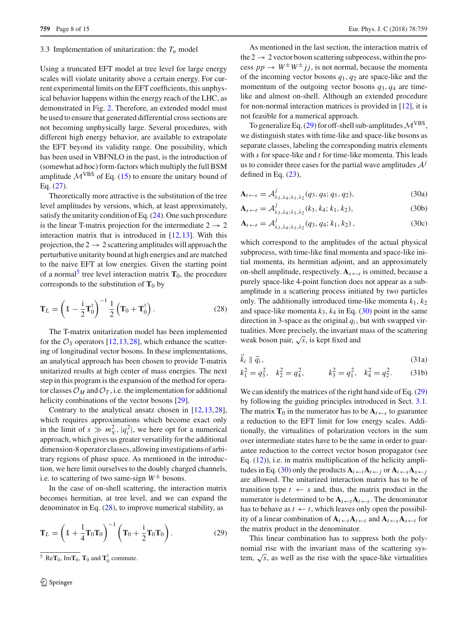### <span id="page-7-0"></span>3.3 Implementation of unitarization: the  $T_u$  model

Using a truncated EFT model at tree level for large energy scales will violate unitarity above a certain energy. For current experimental limits on the EFT coefficients, this unphysical behavior happens within the energy reach of the LHC, as demonstrated in Fig. [2.](#page-1-2) Therefore, an extended model must be used to ensure that generated differential cross sections are not becoming unphysically large. Several procedures, with different high energy behavior, are available to extrapolate the EFT beyond its validity range. One possibility, which has been used in VBFNLO in the past, is the introduction of (somewhat ad hoc) form-factors which multiply the full BSM amplitude  $\mathcal{M}^{VBS}$  of Eq. [\(15\)](#page-5-1) to ensure the unitary bound of Eq. [\(27\)](#page-6-6).

Theoretically more attractive is the substitution of the tree level amplitudes by versions, which, at least approximately, satisfy the unitarity condition of Eq. [\(24\)](#page-6-2). One such procedure is the linear T-matrix projection for the intermediate  $2 \rightarrow 2$ interaction matrix that is introduced in [\[12](#page-14-0),[13\]](#page-14-1). With this projection, the  $2 \rightarrow 2$  scattering amplitudes will approach the perturbative unitarity bound at high energies and are matched to the naive EFT at low energies. Given the starting point of a normal<sup>[5](#page-7-1)</sup> tree level interaction matrix  $T_0$ , the procedure corresponds to the substitution of  $T_0$  by

$$
\mathbf{T}_L = \left(1 - \frac{\mathrm{i}}{2}\mathbf{T}_0^{\dagger}\right)^{-1} \frac{1}{2} \left(\mathbf{T}_0 + \mathbf{T}_0^{\dagger}\right). \tag{28}
$$

The T-matrix unitarization model has been implemented for the  $\mathcal{O}_S$  operators [\[12](#page-14-0),[13,](#page-14-1)[28\]](#page-14-16), which enhance the scattering of longitudinal vector bosons. In these implementations, an analytical approach has been chosen to provide T-matrix unitarized results at high center of mass energies. The next step in this program is the expansion of the method for operator classes  $\mathcal{O}_M$  and  $\mathcal{O}_T$ , i.e. the implementation for additional helicity combinations of the vector bosons [\[29\]](#page-14-17).

Contrary to the analytical ansatz chosen in [\[12](#page-14-0)[,13](#page-14-1)[,28](#page-14-16)], which requires approximations which become exact only in the limit of  $s \gg m_V^2$ ,  $|q_i^2|$ , we here opt for a numerical approach, which gives us greater versatility for the additional dimension-8 operator classes, allowing investigations of arbitrary regions of phase space. As mentioned in the introduction, we here limit ourselves to the doubly charged channels, i.e. to scattering of two same-sign  $W^{\pm}$  bosons.

In the case of on-shell scattering, the interaction matrix becomes hermitian, at tree level, and we can expand the denominator in Eq. [\(28\)](#page-7-2), to improve numerical stability, as

$$
\mathbf{T}_L = \left(\mathbb{1} + \frac{1}{4}\mathbf{T}_0\mathbf{T}_0\right)^{-1} \left(\mathbf{T}_0 + \frac{1}{2}\mathbf{T}_0\mathbf{T}_0\right). \tag{29}
$$

As mentioned in the last section, the interaction matrix of the  $2 \rightarrow 2$  vector boson scattering subprocess, within the process  $pp \rightarrow W^{\pm}W^{\pm}jj$ , is not normal, because the momenta of the incoming vector bosons *q*1, *q*<sup>2</sup> are space-like and the momentum of the outgoing vector bosons  $q_3$ ,  $q_4$  are timelike and almost on-shell. Although an extended procedure for non-normal interaction matrices is provided in [\[12](#page-14-0)], it is not feasible for a numerical approach.

To generalize Eq. [\(29\)](#page-7-3) for off-shell sub-amplitudes*M*VBS, we distinguish states with time-like and space-like bosons as separate classes, labeling the corresponding matrix elements with *s* for space-like and *t* for time-like momenta. This leads us to consider three cases for the partial wave amplitudes  $A<sup>j</sup>$ defined in Eq.  $(23)$ ,

<span id="page-7-4"></span>
$$
\mathbf{A}_{t \leftarrow s} = \mathcal{A}_{\lambda_3, \lambda_4; \lambda_1, \lambda_2}^j(q_3, q_4; q_1, q_2),\tag{30a}
$$

$$
\mathbf{A}_{s \leftarrow t} = \mathcal{A}^j_{\lambda_3, \lambda_4; \lambda_1, \lambda_2}(k_3, k_4; k_1, k_2),
$$
\n(30b)

$$
\mathbf{A}_{t \leftarrow t} = \mathcal{A}^j_{\lambda_3, \lambda_4; \lambda_1, \lambda_2}(q_3, q_4; k_1, k_2), \tag{30c}
$$

which correspond to the amplitudes of the actual physical subprocess, with time-like final momenta and space-like initial momenta, its hermitian adjoint, and an approximately on-shell amplitude, respectively.  $A_{s \leftarrow s}$  is omitted, because a purely space-like 4-point function does not appear as a subamplitude in a scattering process initiated by two particles only. The additionally introduced time-like momenta  $k_1$ ,  $k_2$ and space-like momenta  $k_3$ ,  $k_4$  in Eq. [\(30\)](#page-7-4) point in the same direction in 3-space as the original  $q_i$ , but with swapped virtualities. More precisely, the invariant mass of the scattering weak boson pair, <sup>√</sup>*s*, is kept fixed and

<span id="page-7-2"></span>
$$
\vec{k}_i \parallel \vec{q}_i,\tag{31a}
$$

$$
k_1^2 = q_3^2
$$
,  $k_2^2 = q_4^2$ ,  $k_3^2 = q_1^2$ ,  $k_4^2 = q_2^2$ . (31b)

We can identify the matrices of the right hand side of Eq.  $(29)$ by following the guiding principles introduced in Sect. [3.1.](#page-3-4) The matrix  $\mathbf{T}_0$  in the numerator has to be  $\mathbf{A}_{t\leftarrow s}$  to guarantee a reduction to the EFT limit for low energy scales. Additionally, the virtualities of polarization vectors in the sum over intermediate states have to be the same in order to guarantee reduction to the correct vector boson propagator (see Eq.  $(12)$ ), i.e. in matrix multiplication of the helicity ampli-tudes in Eq. [\(30\)](#page-7-4) only the products  $A_i \leftarrow A \leftarrow j$  or  $A_i \leftarrow s A_s \leftarrow j$ are allowed. The unitarized interaction matrix has to be of transition type  $t \leftarrow s$  and, thus, the matrix product in the numerator is determined to be  $A_t \leftarrow t A_t \leftarrow s$ . The denominator has to behave as  $t \leftarrow t$ , which leaves only open the possibility of a linear combination of  $A_t \leftarrow t A_t \leftarrow t$  and  $A_t \leftarrow s A_s \leftarrow t$  for the matrix product in the denominator.

<span id="page-7-3"></span>This linear combination has to suppress both the polynomial rise with the invariant mass of the scattering system,  $\sqrt{s}$ , as well as the rise with the space-like virtualities

<span id="page-7-1"></span><sup>&</sup>lt;sup>5</sup> Re $\mathbf{T}_0$ , Im $\mathbf{T}_0$ ,  $\mathbf{T}_0$  and  $\mathbf{T}_0^{\dagger}$  commute.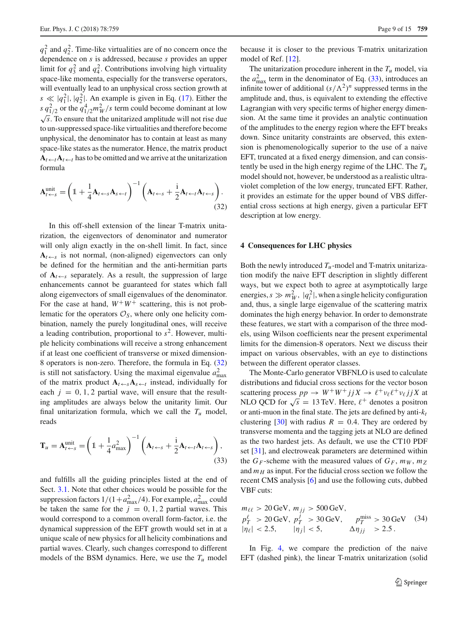$q_1^2$  and  $q_2^2$ . Time-like virtualities are of no concern once the dependence on *s* is addressed, because *s* provides an upper limit for  $q_3^2$  and  $q_4^2$ . Contributions involving high virtuality space-like momenta, especially for the transverse operators, will eventually lead to an unphysical cross section growth at  $s \ll |q_1^2|, |q_2^2|$ . An example is given in Eq. [\(17\)](#page-5-2). Either the *s*  $q_{1/2}^2$  or the  $q_{1/2}^4 m_W^2/s$  term could become dominant at low <sup>√</sup>*s*. To ensure that the unitarized amplitude will not rise due to un-suppressed space-like virtualities and therefore become unphysical, the denominator has to contain at least as many space-like states as the numerator. Hence, the matrix product  $A_t \leftarrow t A_t \leftarrow t$  has to be omitted and we arrive at the unitarization formula

$$
\mathbf{A}_{t \leftarrow s}^{\text{unit}} = \left(1 + \frac{1}{4}\mathbf{A}_{t \leftarrow s}\mathbf{A}_{s \leftarrow t}\right)^{-1} \left(\mathbf{A}_{t \leftarrow s} + \frac{1}{2}\mathbf{A}_{t \leftarrow t}\mathbf{A}_{t \leftarrow s}\right)\right.\tag{32}
$$

In this off-shell extension of the linear T-matrix unitarization, the eigenvectors of denominator and numerator will only align exactly in the on-shell limit. In fact, since  $A_t \leftarrow s$  is not normal, (non-aligned) eigenvectors can only be defined for the hermitian and the anti-hermitian parts of  $A_{t\leftarrow s}$  separately. As a result, the suppression of large enhancements cannot be guaranteed for states which fall along eigenvectors of small eigenvalues of the denominator. For the case at hand,  $W^+W^+$  scattering, this is not problematic for the operators  $\mathcal{O}_S$ , where only one helicity combination, namely the purely longitudinal ones, will receive a leading contribution, proportional to  $s^2$ . However, multiple helicity combinations will receive a strong enhancement if at least one coefficient of transverse or mixed dimension-8 operators is non-zero. Therefore, the formula in Eq. [\(32\)](#page-8-2) is still not satisfactory. Using the maximal eigenvalue  $a_{\text{max}}^2$ of the matrix product  $A_t \in A_s A_s \in t$  instead, individually for each  $j = 0, 1, 2$  partial wave, will ensure that the resulting amplitudes are always below the unitarity limit. Our final unitarization formula, which we call the  $T_u$  model, reads

$$
\mathbf{T}_u = \mathbf{A}_{t \leftarrow s}^{\text{unit}} = \left(1 + \frac{1}{4}a_{\text{max}}^2\right)^{-1} \left(\mathbf{A}_{t \leftarrow s} + \frac{1}{2}\mathbf{A}_{t \leftarrow t}\mathbf{A}_{t \leftarrow s}\right),\tag{33}
$$

and fulfills all the guiding principles listed at the end of Sect. [3.1.](#page-3-4) Note that other choices would be possible for the suppression factors  $1/(1 + a_{\text{max}}^2/4)$ . For example,  $a_{\text{max}}^2$  could be taken the same for the  $j = 0, 1, 2$  partial waves. This would correspond to a common overall form-factor, i.e. the dynamical suppression of the EFT growth would set in at a unique scale of new physics for all helicity combinations and partial waves. Clearly, such changes correspond to different models of the BSM dynamics. Here, we use the  $T_u$  model

because it is closer to the previous T-matrix unitarization model of Ref. [\[12\]](#page-14-0).

The unitarization procedure inherent in the  $T_u$  model, via the  $a_{\text{max}}^2$  term in the denominator of Eq. [\(33\)](#page-8-3), introduces an infinite tower of additional  $(s/\Lambda^2)^n$  suppressed terms in the amplitude and, thus, is equivalent to extending the effective Lagrangian with very specific terms of higher energy dimension. At the same time it provides an analytic continuation of the amplitudes to the energy region where the EFT breaks down. Since unitarity constraints are observed, this extension is phenomenologically superior to the use of a naive EFT, truncated at a fixed energy dimension, and can consistently be used in the high energy regime of the LHC. The *Tu* model should not, however, be understood as a realistic ultraviolet completion of the low energy, truncated EFT. Rather, it provides an estimate for the upper bound of VBS differential cross sections at high energy, given a particular EFT description at low energy.

#### <span id="page-8-2"></span><span id="page-8-1"></span>**4 Consequences for LHC physics**

Both the newly introduced  $T_u$ -model and T-matrix unitarization modify the naive EFT description in slightly different ways, but we expect both to agree at asymptotically large energies,  $s \gg m_W^2$ ,  $|q_i^2|$ , when a single helicity configuration and, thus, a single large eigenvalue of the scattering matrix dominates the high energy behavior. In order to demonstrate these features, we start with a comparison of the three models, using Wilson coefficients near the present experimental limits for the dimension-8 operators. Next we discuss their impact on various observables, with an eye to distinctions between the different operator classes.

The Monte-Carlo generator VBFNLO is used to calculate distributions and fiducial cross sections for the vector boson scattering process  $pp \rightarrow W^+W^+ jjX \rightarrow \ell^+ \nu_\ell \ell^+ \nu_\ell jjX$  at NLO QCD for  $\sqrt{s} = 13$  TeV. Here,  $\ell^+$  denotes a positron or anti-muon in the final state. The jets are defined by anti- $k_t$ clustering [\[30](#page-14-18)] with radius  $R = 0.4$ . They are ordered by transverse momenta and the tagging jets at NLO are defined as the two hardest jets. As default, we use the CT10 PDF set [\[31](#page-14-19)], and electroweak parameters are determined within the  $G_F$ -scheme with the measured values of  $G_F$ ,  $m_W$ ,  $m_Z$ and  $m_H$  as input. For the fiducial cross section we follow the recent CMS analysis [\[6\]](#page-13-5) and use the following cuts, dubbed VBF cuts:

<span id="page-8-3"></span><span id="page-8-0"></span>
$$
m_{\ell\ell} > 20 \text{ GeV}, m_{jj} > 500 \text{ GeV},
$$
  
\n
$$
p_T^{\ell} > 20 \text{ GeV}, p_T^{j} > 30 \text{ GeV}, p_T^{\text{miss}} > 30 \text{ GeV}
$$
 (34)  
\n
$$
|\eta_{\ell}| < 2.5, |\eta_{j}| < 5, \Delta \eta_{jj} > 2.5.
$$

In Fig. [4,](#page-9-0) we compare the prediction of the naive EFT (dashed pink), the linear T-matrix unitarization (solid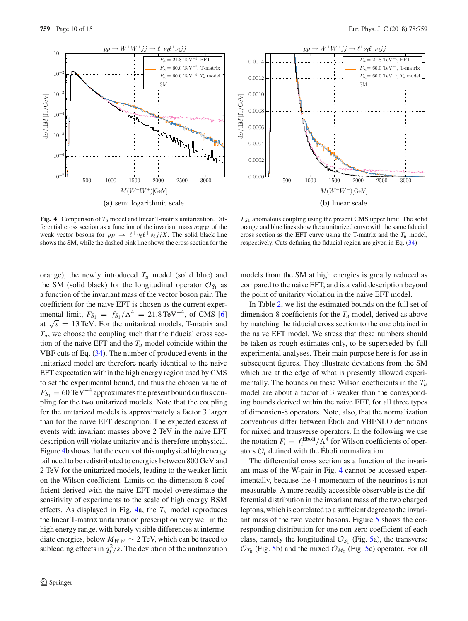

 $^{\dagger} \nu_{\ell} \ell^{\dagger} \nu_{\ell} j_{\ell}$  $21.8$  TeV<sup>-4</sup>, EFT 0.0014  $F_{S_1}= 60.0 \text{ TeV}^{-4}$ , T-matrix  $F_{S_1}= 60.0 \text{ TeV}^{-4}, T_u \text{ mode}$ 0.0012 SM 0.0010 do/dM [fb/GeV] dσ/dM [fb/GeV] 0.0008 0.0006 0.0004 0.0002 0.0000 500 1000 1500 2000 2500 3000  $M(W^+W^+)[GeV]$ **(b)** linear scale

<span id="page-9-0"></span>**Fig. 4** Comparison of  $T_u$  model and linear T-matrix unitarization. Differential cross section as a function of the invariant mass  $m_{WW}$  of the weak vector bosons for  $pp \rightarrow \ell^+ \nu_\ell \ell^+ \nu_\ell j j X$ . The solid black line shows the SM, while the dashed pink line shows the cross section for the

orange), the newly introduced  $T_u$  model (solid blue) and the SM (solid black) for the longitudinal operator  $\mathcal{O}_{S_1}$  as a function of the invariant mass of the vector boson pair. The coefficient for the naive EFT is chosen as the current experimental limit,  $F_{S_1} = f_{S_1} / \Lambda^4 = 21.8 \,\text{TeV}^{-4}$ , of CMS [\[6\]](#page-13-5) at  $\sqrt{s}$  = 13 TeV. For the unitarized models, T-matrix and  $T_u$ , we choose the coupling such that the fiducial cross section of the naive EFT and the  $T_u$  model coincide within the VBF cuts of Eq. [\(34\)](#page-8-0). The number of produced events in the unitarized model are therefore nearly identical to the naive EFT expectation within the high energy region used by CMS to set the experimental bound, and thus the chosen value of  $F_{S_1} = 60 \,\text{TeV}^{-4}$  approximates the present bound on this coupling for the two unitarized models. Note that the coupling for the unitarized models is approximately a factor 3 larger than for the naive EFT description. The expected excess of events with invariant masses above 2 TeV in the naive EFT description will violate unitarity and is therefore unphysical. Figure [4b](#page-9-0) shows that the events of this unphysical high energy tail need to be redistributed to energies between 800 GeV and 2 TeV for the unitarized models, leading to the weaker limit on the Wilson coefficient. Limits on the dimension-8 coefficient derived with the naive EFT model overestimate the sensitivity of experiments to the scale of high energy BSM effects. As displayed in Fig.  $4a$ , the  $T_u$  model reproduces the linear T-matrix unitarization prescription very well in the high energy range, with barely visible differences at intermediate energies, below  $M_{WW} \sim 2$  TeV, which can be traced to subleading effects in  $q_i^2/s$ . The deviation of the unitarization

orange and blue lines show the a unitarized curve with the same fiducial cross section as the EFT curve using the T-matrix and the  $T_u$  model, respectively. Cuts defining the fiducial region are given in Eq. [\(34\)](#page-8-0)

 $F_{S1}$  anomalous coupling using the present CMS upper limit. The solid

models from the SM at high energies is greatly reduced as compared to the naive EFT, and is a valid description beyond the point of unitarity violation in the naive EFT model.

In Table [2,](#page-10-0) we list the estimated bounds on the full set of dimension-8 coefficients for the *Tu* model, derived as above by matching the fiducial cross section to the one obtained in the naive EFT model. We stress that these numbers should be taken as rough estimates only, to be superseded by full experimental analyses. Their main purpose here is for use in subsequent figures. They illustrate deviations from the SM which are at the edge of what is presently allowed experimentally. The bounds on these Wilson coefficients in the *Tu* model are about a factor of 3 weaker than the corresponding bounds derived within the naive EFT, for all three types of dimension-8 operators. Note, also, that the normalization conventions differ between Éboli and VBFNLO definitions for mixed and transverse operators. In the following we use the notation  $F_i = f_i^{\text{Eboli}} / \Lambda^4$  for Wilson coefficients of operators  $O_i$  defined with the Éboli normalization.

The differential cross section as a function of the invariant mass of the W-pair in Fig. [4](#page-9-0) cannot be accessed experimentally, because the 4-momentum of the neutrinos is not measurable. A more readily accessible observable is the differential distribution in the invariant mass of the two charged leptons, which is correlated to a sufficient degree to the invariant mass of the two vector bosons. Figure [5](#page-11-0) shows the corresponding distribution for one non-zero coefficient of each class, namely the longitudinal  $\mathcal{O}_{S_1}$  (Fig. [5a](#page-11-0)), the transverse  $\mathcal{O}_{T_0}$  (Fig. [5b](#page-11-0)) and the mixed  $\mathcal{O}_{M_0}$  (Fig. [5c](#page-11-0)) operator. For all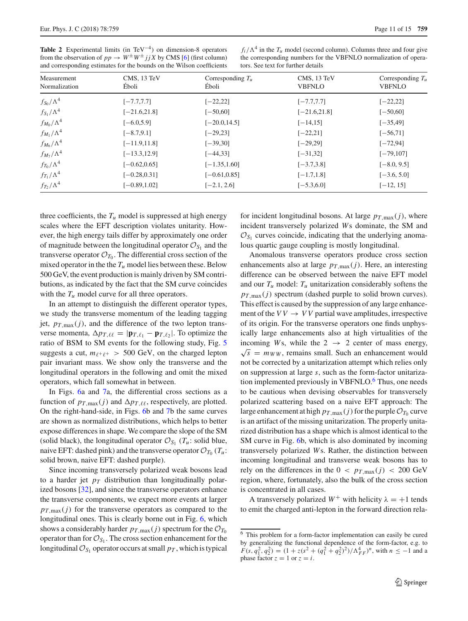<span id="page-10-0"></span>

| <b>Table 2</b> Experimental limits (in $TeV^{-4}$ ) on dimension-8 operators |  |  |  |
|------------------------------------------------------------------------------|--|--|--|
| from the observation of $pp \to W^{\pm}W^{\pm}jjX$ by CMS [6] (first column) |  |  |  |
| and corresponding estimates for the bounds on the Wilson coefficients        |  |  |  |

 $f_i/\Lambda^4$  in the  $T_u$  model (second column). Columns three and four give the corresponding numbers for the VBFNLO normalization of operators. See text for further details

| Measurement<br>Normalization | CMS, 13 TeV<br>Eboli | Corresponding $T_u$<br>Éboli | CMS, 13 TeV<br><b>VBFNLO</b> | Corresponding $T_u$<br><b>VBFNLO</b> |
|------------------------------|----------------------|------------------------------|------------------------------|--------------------------------------|
| $f_{\rm S_0}/\Lambda^4$      | $[-7.7, 7.7]$        | $[-22, 22]$                  | $[-7.7, 7.7]$                | $[-22, 22]$                          |
| $f_{S_1}/\Lambda^4$          | $[-21.6, 21.8]$      | $[-50, 60]$                  | $[-21.6, 21.8]$              | $[-50,60]$                           |
| $f_{M_0}/\Lambda^4$          | $[-6.0, 5.9]$        | $[-20.0, 14.5]$              | $[-14, 15]$                  | $[-35, 49]$                          |
| $f_{M_1}/\Lambda^4$          | $[-8.7, 9.1]$        | $[-29, 23]$                  | $[-22, 21]$                  | $[-56, 71]$                          |
| $f_{M_6}/\Lambda^4$          | $[-11.9, 11.8]$      | $[-39,30]$                   | $[-29, 29]$                  | $[-72, 94]$                          |
| $f_{M_7}/\Lambda^4$          | $[-13.3, 12.9]$      | $[-44, 33]$                  | $[-31, 32]$                  | $[-79, 107]$                         |
| $f_{T_0}/\Lambda^4$          | $[-0.62, 0.65]$      | $[-1.35, 1.60]$              | $[-3.7, 3.8]$                | $[-8.0, 9.5]$                        |
| $f_{T_1}/\Lambda^4$          | $[-0.28, 0.31]$      | $[-0.61, 0.85]$              | $[-1.7, 1.8]$                | $[-3.6, 5.0]$                        |
| $f_{T_2}/\Lambda^4$          | $[-0.89, 1.02]$      | $[-2.1, 2.6]$                | $[-5.3, 6.0]$                | $[-12, 15]$                          |

three coefficients, the  $T_u$  model is suppressed at high energy scales where the EFT description violates unitarity. However, the high energy tails differ by approximately one order of magnitude between the longitudinal operator  $\mathcal{O}_{S_1}$  and the transverse operator  $\mathcal{O}_{T_0}$ . The differential cross section of the mixed operator in the the  $T_u$  model lies between these. Below 500 GeV, the event production is mainly driven by SM contributions, as indicated by the fact that the SM curve coincides with the  $T_u$  model curve for all three operators.

In an attempt to distinguish the different operator types, we study the transverse momentum of the leading tagging jet,  $p_{T,\text{max}}(j)$ , and the difference of the two lepton transverse momenta,  $\Delta p_{T, \ell\ell} = |\mathbf{p}_{T, \ell_1} - \mathbf{p}_{T, \ell_2}|$ . To optimize the ratio of BSM to SM events for the following study, Fig. [5](#page-11-0) suggests a cut,  $m_{\ell^+\ell^+} > 500$  GeV, on the charged lepton pair invariant mass. We show only the transverse and the longitudinal operators in the following and omit the mixed operators, which fall somewhat in between.

In Figs. [6a](#page-12-1) and [7a](#page-12-2), the differential cross sections as a function of  $p_{T,\max}(j)$  and  $\Delta p_{T,\ell\ell}$ , respectively, are plotted. On the right-hand-side, in Figs. [6b](#page-12-1) and [7b](#page-12-2) the same curves are shown as normalized distributions, which helps to better expose differences in shape. We compare the slope of the SM (solid black), the longitudinal operator  $\mathcal{O}_{S_1}$  ( $T_u$ : solid blue, naive EFT: dashed pink) and the transverse operator  $\mathcal{O}_{T_0}(T_u)$ : solid brown, naive EFT: dashed purple).

Since incoming transversely polarized weak bosons lead to a harder jet  $p_T$  distribution than longitudinally polarized bosons [\[32](#page-14-20)], and since the transverse operators enhance the transverse components, we expect more events at larger  $p_{T,\text{max}}(j)$  for the transverse operators as compared to the longitudinal ones. This is clearly borne out in Fig. [6,](#page-12-1) which shows a considerably harder  $p_{T,\max}(j)$  spectrum for the  $\mathcal{O}_{T_0}$ operator than for  $\mathcal{O}_{S_1}$ . The cross section enhancement for the longitudinal  $\mathcal{O}_{S_1}$  operator occurs at small  $p_T$ , which is typical

for incident longitudinal bosons. At large  $p_{T,\text{max}}(j)$ , where incident transversely polarized *W*s dominate, the SM and  $\mathcal{O}_{S_1}$  curves coincide, indicating that the underlying anomalous quartic gauge coupling is mostly longitudinal.

Anomalous transverse operators produce cross section enhancements also at large  $p_{T,\text{max}}(j)$ . Here, an interesting difference can be observed between the naive EFT model and our  $T_u$  model:  $T_u$  unitarization considerably softens the  $p_{T,\text{max}}(j)$  spectrum (dashed purple to solid brown curves). This effect is caused by the suppression of any large enhancement of the  $VV \rightarrow VV$  partial wave amplitudes, irrespective of its origin. For the transverse operators one finds unphysically large enhancements also at high virtualities of the incoming *Ws*, while the  $2 \rightarrow 2$  center of mass energy,  $\sqrt{s}$  =  $m_{WW}$ , remains small. Such an enhancement would not be corrected by a unitarization attempt which relies only on suppression at large *s*, such as the form-factor unitarization implemented previously in VBFNLO.<sup>6</sup> Thus, one needs to be cautious when devising observables for transversely polarized scattering based on a naive EFT approach: The large enhancement at high  $p_{T,\text{max}}(j)$  for the purple  $\mathcal{O}_{T_0}$  curve is an artifact of the missing unitarization. The properly unitarized distribution has a shape which is almost identical to the SM curve in Fig. [6b](#page-12-1), which is also dominated by incoming transversely polarized *W*s. Rather, the distinction between incoming longitudinal and transverse weak bosons has to rely on the differences in the  $0 < p_{T,\text{max}}(j) < 200 \text{ GeV}$ region, where, fortunately, also the bulk of the cross section is concentrated in all cases.

A transversely polarized  $W^+$  with helicity  $\lambda = +1$  tends to emit the charged anti-lepton in the forward direction rela-

<span id="page-10-1"></span><sup>6</sup> This problem for a form-factor implementation can easily be cured by generalizing the functional dependence of the form-factor, e.g. to  $F(s, q_1^2, q_2^2) = (1 + z(s^2 + (q_1^2 + q_2^2)^2)/\Lambda_{FF}^4)^n$ , with  $n \le -1$  and a phase factor  $z = 1$  or  $z = i$ .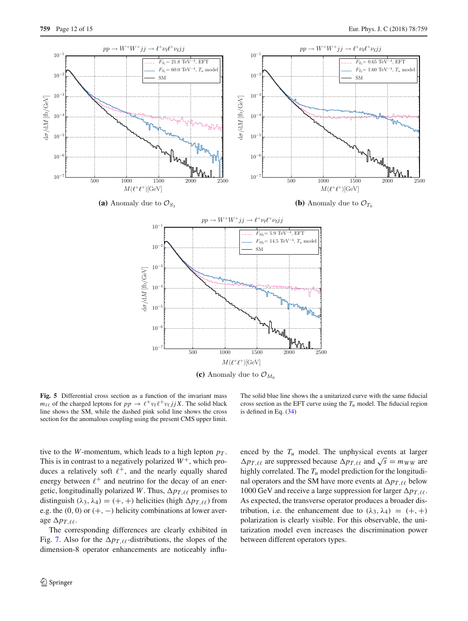

<span id="page-11-0"></span>**Fig. 5** Differential cross section as a function of the invariant mass  $m_{\ell\ell}$  of the charged leptons for  $pp \to \ell^+ \nu_\ell \ell^+ \nu_\ell j j X$ . The solid black line shows the SM, while the dashed pink solid line shows the cross section for the anomalous coupling using the present CMS upper limit.

The solid blue line shows the a unitarized curve with the same fiducial cross section as the EFT curve using the  $T_u$  model. The fiducial region is defined in Eq. [\(34\)](#page-8-0)

tive to the *W*-momentum, which leads to a high lepton  $p<sub>T</sub>$ . This is in contrast to a negatively polarized  $W^+$ , which produces a relatively soft  $\ell^+$ , and the nearly equally shared energy between  $\ell^+$  and neutrino for the decay of an energetic, longitudinally polarized *W*. Thus,  $\Delta p_{T, \ell\ell}$  promises to distinguish  $(\lambda_3, \lambda_4) = (+, +)$  helicities (high  $\Delta p_{T, \ell\ell}$ ) from e.g. the  $(0, 0)$  or  $(+, -)$  helicity combinations at lower average  $\Delta p_{T,\ell\ell}$ .

The corresponding differences are clearly exhibited in Fig. [7.](#page-12-2) Also for the  $\Delta p_{T,\ell\ell}$ -distributions, the slopes of the dimension-8 operator enhancements are noticeably influenced by the  $T_u$  model. The unphysical events at larger  $\Delta p_{T,\ell\ell}$  are suppressed because  $\Delta p_{T,\ell\ell}$  and  $\sqrt{s} = m_{WW}$  are highly correlated. The *Tu* model prediction for the longitudinal operators and the SM have more events at  $\Delta p_{T,\ell\ell}$  below 1000 GeV and receive a large suppression for larger  $\Delta p_{T,\ell\ell}$ . As expected, the transverse operator produces a broader distribution, i.e. the enhancement due to  $(\lambda_3, \lambda_4) = (+, +)$ polarization is clearly visible. For this observable, the unitarization model even increases the discrimination power between different operators types.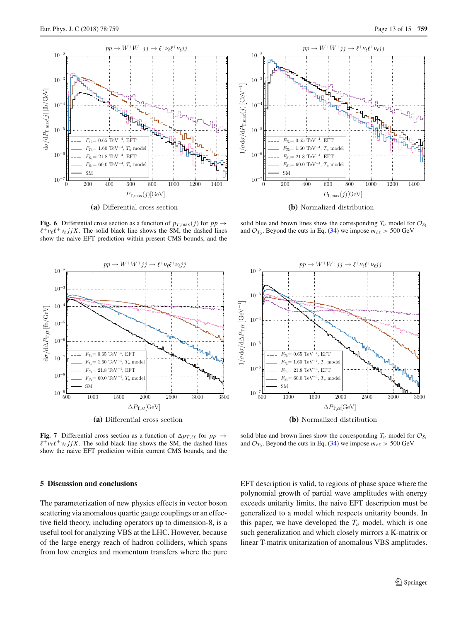

<span id="page-12-1"></span>



**(a)** Differential cross section

<span id="page-12-2"></span>**Fig. 7** Differential cross section as a function of  $\Delta p_{T, \ell\ell}$  for  $pp \rightarrow$  $\ell^+ \nu_\ell \ell^+ \nu_\ell j j X$ . The solid black line shows the SM, the dashed lines show the naive EFT prediction within current CMS bounds, and the

## <span id="page-12-0"></span>**5 Discussion and conclusions**

The parameterization of new physics effects in vector boson scattering via anomalous quartic gauge couplings or an effective field theory, including operators up to dimension-8, is a useful tool for analyzing VBS at the LHC. However, because of the large energy reach of hadron colliders, which spans from low energies and momentum transfers where the pure



**(b)** Normalized distribution

solid blue and brown lines show the corresponding  $T_u$  model for  $\mathcal{O}_{S_1}$ and  $\mathcal{O}_{T_0}$ . Beyond the cuts in Eq. [\(34\)](#page-8-0) we impose  $m_{\ell\ell} > 500$  GeV



**(b)** Normalized distribution

solid blue and brown lines show the corresponding  $T_u$  model for  $\mathcal{O}_{S_1}$ and  $\mathcal{O}_{T_0}$ . Beyond the cuts in Eq. [\(34\)](#page-8-0) we impose  $m_{\ell\ell} > 500$  GeV

EFT description is valid, to regions of phase space where the polynomial growth of partial wave amplitudes with energy exceeds unitarity limits, the naive EFT description must be generalized to a model which respects unitarity bounds. In this paper, we have developed the  $T_u$  model, which is one such generalization and which closely mirrors a K-matrix or linear T-matrix unitarization of anomalous VBS amplitudes.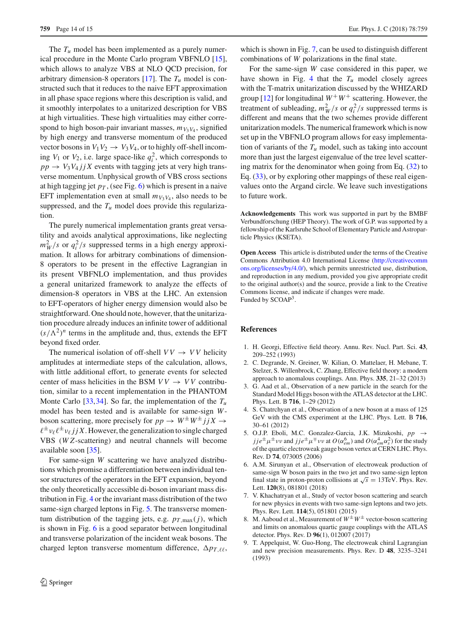The  $T_u$  model has been implemented as a purely numerical procedure in the Monte Carlo program VBFNLO [\[15](#page-14-5)], which allows to analyze VBS at NLO QCD precision, for arbitrary dimension-8 operators  $[17]$  $[17]$ . The  $T_u$  model is constructed such that it reduces to the naive EFT approximation in all phase space regions where this description is valid, and it smoothly interpolates to a unitarized description for VBS at high virtualities. These high virtualities may either correspond to high boson-pair invariant masses,  $m_{V_3V_4}$ , signified by high energy and transverse momentum of the produced vector bosons in  $V_1V_2 \rightarrow V_3V_4$ , or to highly off-shell incoming  $V_1$  or  $V_2$ , i.e. large space-like  $q_i^2$ , which corresponds to  $pp \rightarrow V_3 V_4 j j X$  events with tagging jets at very high transverse momentum. Unphysical growth of VBS cross sections at high tagging jet  $p_T$ , (see Fig. [6\)](#page-12-1) which is present in a naive EFT implementation even at small  $m_{V_3V_4}$ , also needs to be suppressed, and the  $T_u$  model does provide this regularization.

The purely numerical implementation grants great versatility and avoids analytical approximations, like neglecting  $m_W^2$ /*s* or  $q_i^2$ /*s* suppressed terms in a high energy approximation. It allows for arbitrary combinations of dimension-8 operators to be present in the effective Lagrangian in its present VBFNLO implementation, and thus provides a general unitarized framework to analyze the effects of dimension-8 operators in VBS at the LHC. An extension to EFT-operators of higher energy dimension would also be straightforward. One should note, however, that the unitarization procedure already induces an infinite tower of additional  $(s/\Lambda^2)^n$  terms in the amplitude and, thus, extends the EFT beyond fixed order.

The numerical isolation of off-shell  $VV \rightarrow VV$  helicity amplitudes at intermediate steps of the calculation, allows, with little additional effort, to generate events for selected center of mass helicities in the BSM  $VV \rightarrow VV$  contribution, similar to a recent implementation in the PHANTOM Monte Carlo  $\left[33,34\right]$  $\left[33,34\right]$  $\left[33,34\right]$  $\left[33,34\right]$ . So far, the implementation of the  $T_u$ model has been tested and is available for same-sign *W*boson scattering, more precisely for  $pp \rightarrow W^{\pm}W^{\pm}jX \rightarrow$  $\ell^{\pm}v_{\ell}\ell^{\pm}v_{\ell}jX$ . However, the generalization to single charged VBS (*W Z*-scattering) and neutral channels will become available soon [\[35\]](#page-14-23).

For same-sign *W* scattering we have analyzed distributions which promise a differentiation between individual tensor structures of the operators in the EFT expansion, beyond the only theoretically accessible di-boson invariant mass distribution in Fig. [4](#page-9-0) or the invariant mass distribution of the two same-sign charged leptons in Fig. [5.](#page-11-0) The transverse momentum distribution of the tagging jets, e.g.  $p_{T,\max}(j)$ , which is shown in Fig. [6](#page-12-1) is a good separator between longitudinal and transverse polarization of the incident weak bosons. The charged lepton transverse momentum difference,  $\Delta p_{T,\ell\ell}$ ,

which is shown in Fig. [7,](#page-12-2) can be used to distinguish different combinations of *W* polarizations in the final state.

For the same-sign *W* case considered in this paper, we have shown in Fig. [4](#page-9-0) that the  $T_u$  model closely agrees with the T-matrix unitarization discussed by the WHIZARD group [\[12\]](#page-14-0) for longitudinal  $W^+W^+$  scattering. However, the treatment of subleading,  $m_W^2/s$  or  $q_i^2/s$  suppressed terms is different and means that the two schemes provide different unitarization models. The numerical framework which is now set up in the VBFNLO program allows for easy implementation of variants of the  $T_u$  model, such as taking into account more than just the largest eigenvalue of the tree level scattering matrix for the denominator when going from Eq. [\(32\)](#page-8-2) to Eq. [\(33\)](#page-8-3), or by exploring other mappings of these real eigenvalues onto the Argand circle. We leave such investigations to future work.

**Acknowledgements** This work was supported in part by the BMBF Verbundforschung (HEP Theory). The work of G.P. was supported by a fellowship of the Karlsruhe School of Elementary Particle and Astroparticle Physics (KSETA).

**Open Access** This article is distributed under the terms of the Creative Commons Attribution 4.0 International License [\(http://creativecomm](http://creativecommons.org/licenses/by/4.0/) [ons.org/licenses/by/4.0/\)](http://creativecommons.org/licenses/by/4.0/), which permits unrestricted use, distribution, and reproduction in any medium, provided you give appropriate credit to the original author(s) and the source, provide a link to the Creative Commons license, and indicate if changes were made. Funded by SCOAP3.

## **References**

- <span id="page-13-0"></span>1. H. Georgi, Effective field theory. Annu. Rev. Nucl. Part. Sci. **43**, 209–252 (1993)
- <span id="page-13-1"></span>2. C. Degrande, N. Greiner, W. Kilian, O. Mattelaer, H. Mebane, T. Stelzer, S. Willenbrock, C. Zhang, Effective field theory: a modern approach to anomalous couplings. Ann. Phys. **335**, 21–32 (2013)
- <span id="page-13-2"></span>3. G. Aad et al., Observation of a new particle in the search for the Standard Model Higgs boson with the ATLAS detector at the LHC. Phys. Lett. B **716**, 1–29 (2012)
- <span id="page-13-3"></span>4. S. Chatrchyan et al., Observation of a new boson at a mass of 125 GeV with the CMS experiment at the LHC. Phys. Lett. B **716**, 30–61 (2012)
- <span id="page-13-4"></span>5. O.J.P. Eboli, M.C. Gonzalez-Garcia, J.K. Mizukoshi, *pp* →  $jje^{\pm}\mu^{\pm}\nu\nu$  and  $jje^{\pm}\mu^{\mp}\nu\nu$  at  $O(\alpha_{em}^6)$  and  $O(\alpha_{em}^4\alpha_s^2)$  for the study of the quartic electroweak gauge boson vertex at CERN LHC. Phys. Rev. D **74**, 073005 (2006)
- <span id="page-13-5"></span>6. A.M. Sirunyan et al., Observation of electroweak production of same-sign W boson pairs in the two jet and two same-sign lepton final state in proton-proton collisions at  $\sqrt{s} = 13$  TeV. Phys. Rev. Lett. **120**(8), 081801 (2018)
- <span id="page-13-6"></span>7. V. Khachatryan et al., Study of vector boson scattering and search for new physics in events with two same-sign leptons and two jets. Phys. Rev. Lett. **114**(5), 051801 (2015)
- <span id="page-13-7"></span>8. M. Aaboud et al., Measurement of  $W^{\pm}W^{\pm}$  vector-boson scattering and limits on anomalous quartic gauge couplings with the ATLAS detector. Phys. Rev. D **96**(1), 012007 (2017)
- <span id="page-13-8"></span>9. T. Appelquist, W. Guo-Hong, The electroweak chiral Lagrangian and new precision measurements. Phys. Rev. D **48**, 3235–3241 (1993)